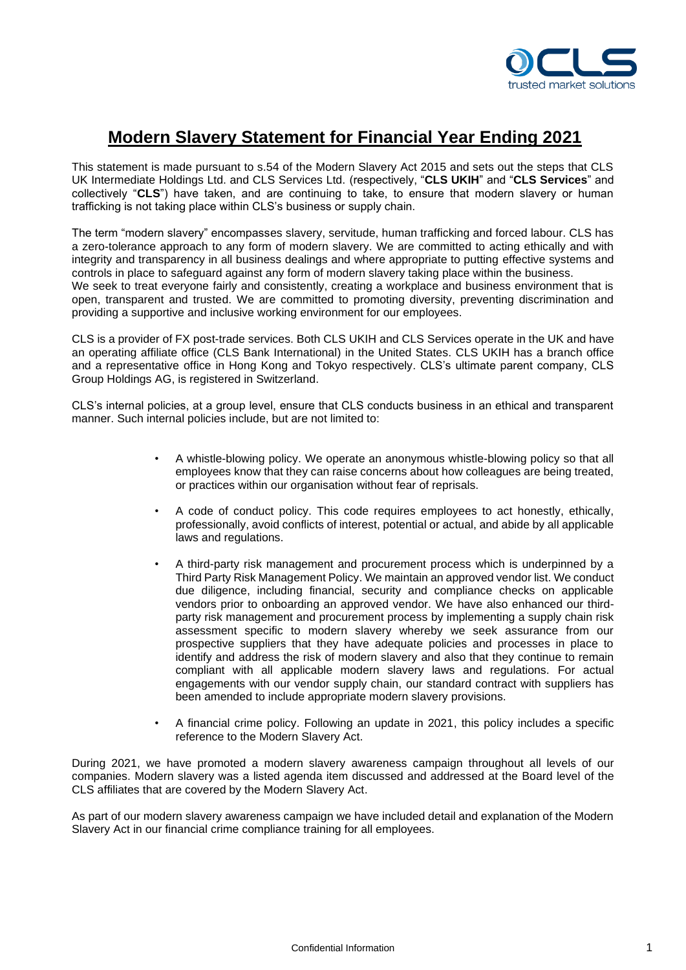

## **Modern Slavery Statement for Financial Year Ending 2021**

This statement is made pursuant to s.54 of the Modern Slavery Act 2015 and sets out the steps that CLS UK Intermediate Holdings Ltd. and CLS Services Ltd. (respectively, "**CLS UKIH**" and "**CLS Services**" and collectively "**CLS**") have taken, and are continuing to take, to ensure that modern slavery or human trafficking is not taking place within CLS's business or supply chain.

The term "modern slavery" encompasses slavery, servitude, human trafficking and forced labour. CLS has a zero-tolerance approach to any form of modern slavery. We are committed to acting ethically and with integrity and transparency in all business dealings and where appropriate to putting effective systems and controls in place to safeguard against any form of modern slavery taking place within the business. We seek to treat everyone fairly and consistently, creating a workplace and business environment that is open, transparent and trusted. We are committed to promoting diversity, preventing discrimination and providing a supportive and inclusive working environment for our employees.

CLS is a provider of FX post-trade services. Both CLS UKIH and CLS Services operate in the UK and have an operating affiliate office (CLS Bank International) in the United States. CLS UKIH has a branch office and a representative office in Hong Kong and Tokyo respectively. CLS's ultimate parent company, CLS Group Holdings AG, is registered in Switzerland.

CLS's internal policies, at a group level, ensure that CLS conducts business in an ethical and transparent manner. Such internal policies include, but are not limited to:

- A whistle-blowing policy. We operate an anonymous whistle-blowing policy so that all employees know that they can raise concerns about how colleagues are being treated, or practices within our organisation without fear of reprisals.
- A code of conduct policy. This code requires employees to act honestly, ethically, professionally, avoid conflicts of interest, potential or actual, and abide by all applicable laws and regulations.
- A third-party risk management and procurement process which is underpinned by a Third Party Risk Management Policy. We maintain an approved vendor list. We conduct due diligence, including financial, security and compliance checks on applicable vendors prior to onboarding an approved vendor. We have also enhanced our thirdparty risk management and procurement process by implementing a supply chain risk assessment specific to modern slavery whereby we seek assurance from our prospective suppliers that they have adequate policies and processes in place to identify and address the risk of modern slavery and also that they continue to remain compliant with all applicable modern slavery laws and regulations. For actual engagements with our vendor supply chain, our standard contract with suppliers has been amended to include appropriate modern slavery provisions.
- A financial crime policy. Following an update in 2021, this policy includes a specific reference to the Modern Slavery Act.

During 2021, we have promoted a modern slavery awareness campaign throughout all levels of our companies. Modern slavery was a listed agenda item discussed and addressed at the Board level of the CLS affiliates that are covered by the Modern Slavery Act.

As part of our modern slavery awareness campaign we have included detail and explanation of the Modern Slavery Act in our financial crime compliance training for all employees.